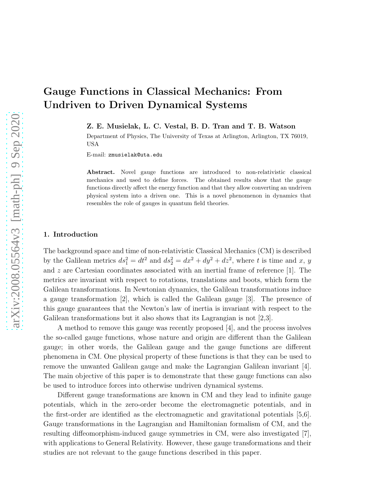Z. E. Musielak, L. C. Vestal, B. D. Tran and T. B. Watson

Department of Physics, The University of Texas at Arlington, Arlington, TX 76019, USA

E-mail: zmusielak@uta.edu

Abstract. Novel gauge functions are introduced to non-relativistic classical mechanics and used to define forces. The obtained results show that the gauge functions directly affect the energy function and that they allow converting an undriven physical system into a driven one. This is a novel phenomenon in dynamics that resembles the role of gauges in quantum field theories.

#### 1. Introduction

The background space and time of non-relativistic Classical Mechanics (CM) is described by the Galilean metrics  $ds_1^2 = dt^2$  and  $ds_2^2 = dx^2 + dy^2 + dz^2$ , where t is time and x, y and z are Cartesian coordinates associated with an inertial frame of reference [1]. The metrics are invariant with respect to rotations, translations and boots, which form the Galilean transformations. In Newtonian dynamics, the Galilean transformations induce a gauge transformation [2], which is called the Galilean gauge [3]. The presence of this gauge guarantees that the Newton's law of inertia is invariant with respect to the Galilean transformations but it also shows that its Lagrangian is not [2,3].

A method to remove this gauge was recently proposed [4], and the process involves the so-called gauge functions, whose nature and origin are different than the Galilean gauge; in other words, the Galilean gauge and the gauge functions are different phenomena in CM. One physical property of these functions is that they can be used to remove the unwanted Galilean gauge and make the Lagrangian Galilean invariant [4]. The main objective of this paper is to demonstrate that these gauge functions can also be used to introduce forces into otherwise undriven dynamical systems.

Different gauge transformations are known in CM and they lead to infinite gauge potentials, which in the zero-order become the electromagnetic potentials, and in the first-order are identified as the electromagnetic and gravitational potentials [5,6]. Gauge transformations in the Lagrangian and Hamiltonian formalism of CM, and the resulting diffeomorphism-induced gauge symmetries in CM, were also investigated [7], with applications to General Relativity. However, these gauge transformations and their studies are not relevant to the gauge functions described in this paper.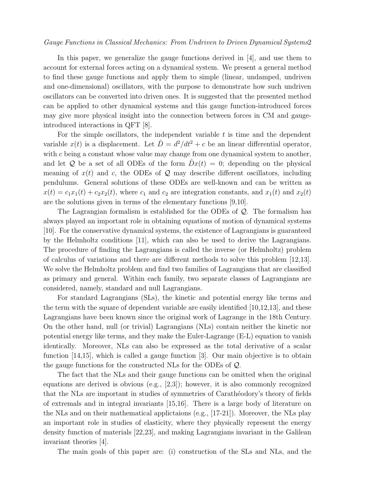In this paper, we generalize the gauge functions derived in [4], and use them to account for external forces acting on a dynamical system. We present a general method to find these gauge functions and apply them to simple (linear, undamped, undriven and one-dimensional) oscillators, with the purpose to demonstrate how such undriven oscillators can be converted into driven ones. It is suggested that the presented method can be applied to other dynamical systems and this gauge function-introduced forces may give more physical insight into the connection between forces in CM and gaugeintroduced interactions in QFT [8].

For the simple oscillators, the independent variable  $t$  is time and the dependent variable  $x(t)$  is a displacement. Let  $\hat{D} = d^2/dt^2 + c$  be an linear differential operator, with c being a constant whose value may change from one dynamical system to another, and let Q be a set of all ODEs of the form  $\hat{D}x(t) = 0$ ; depending on the physical meaning of  $x(t)$  and c, the ODEs of Q may describe different oscillators, including pendulums. General solutions of these ODEs are well-known and can be written as  $x(t) = c_1x_1(t) + c_2x_2(t)$ , where  $c_1$  and  $c_2$  are integration constants, and  $x_1(t)$  and  $x_2(t)$ are the solutions given in terms of the elementary functions [9,10].

The Lagrangian formalism is established for the ODEs of  $\mathcal{Q}$ . The formalism has always played an important role in obtaining equations of motion of dynamical systems [10]. For the conservative dynamical systems, the existence of Lagrangians is guaranteed by the Helmholtz conditions [11], which can also be used to derive the Lagrangians. The procedure of finding the Lagrangians is called the inverse (or Helmholtz) problem of calculus of variations and there are different methods to solve this problem [12,13]. We solve the Helmholtz problem and find two families of Lagrangians that are classified as primary and general. Within each family, two separate classes of Lagrangians are considered, namely, standard and null Lagrangians.

For standard Lagrangians (SLs), the kinetic and potential energy like terms and the term with the square of dependent variable are easily identified [10,12,13], and these Lagrangians have been known since the original work of Lagrange in the 18th Century. On the other hand, null (or trivial) Lagrangians (NLs) contain neither the kinetic nor potential energy like terms, and they make the Euler-Lagrange (E-L) equation to vanish identically. Moreover, NLs can also be expressed as the total derivative of a scalar function [14,15], which is called a gauge function [3]. Our main objective is to obtain the gauge functions for the constructed NLs for the ODEs of Q.

The fact that the NLs and their gauge functions can be omitted when the original equations are derived is obvious (e.g., [2,3]); however, it is also commonly recognized that the NLs are important in studies of symmetries of Carathéodory's theory of fields of extremals and in integral invariants [15,16]. There is a large body of literature on the NLs and on their mathematical applictaions (e.g., [17-21]). Moreover, the NLs play an important role in studies of elasticity, where they physically represent the energy density function of materials [22,23], and making Lagrangians invariant in the Galilean invariant theories [4].

The main goals of this paper are: (i) construction of the SLs and NLs, and the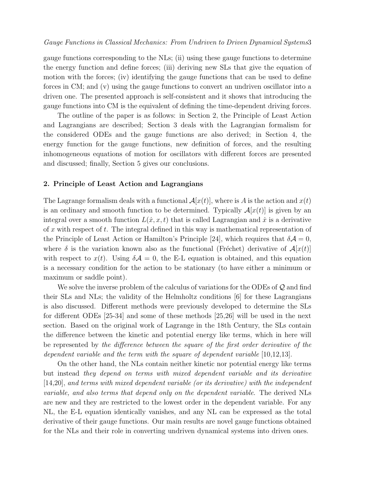gauge functions corresponding to the NLs; (ii) using these gauge functions to determine the energy function and define forces; (iii) deriving new SLs that give the equation of motion with the forces; (iv) identifying the gauge functions that can be used to define forces in CM; and (v) using the gauge functions to convert an undriven oscillator into a driven one. The presented approach is self-consistent and it shows that introducing the gauge functions into CM is the equivalent of defining the time-dependent driving forces.

The outline of the paper is as follows: in Section 2, the Principle of Least Action and Lagrangians are described; Section 3 deals with the Lagrangian formalism for the considered ODEs and the gauge functions are also derived; in Section 4, the energy function for the gauge functions, new definition of forces, and the resulting inhomogeneous equations of motion for oscillators with different forces are presented and discussed; finally, Section 5 gives our conclusions.

### 2. Principle of Least Action and Lagrangians

The Lagrange formalism deals with a functional  $\mathcal{A}[x(t)]$ , where is A is the action and  $x(t)$ is an ordinary and smooth function to be determined. Typically  $\mathcal{A}[x(t)]$  is given by an integral over a smooth function  $L(x, x, t)$  that is called Lagrangian and  $\dot{x}$  is a derivative of x with respect of t. The integral defined in this way is mathematical representation of the Principle of Least Action or Hamilton's Principle [24], which requires that  $\delta \mathcal{A} = 0$ , where  $\delta$  is the variation known also as the functional (Fréchet) derivative of  $\mathcal{A}[x(t)]$ with respect to  $x(t)$ . Using  $\delta A = 0$ , the E-L equation is obtained, and this equation is a necessary condition for the action to be stationary (to have either a minimum or maximum or saddle point).

We solve the inverse problem of the calculus of variations for the ODEs of  $\mathcal Q$  and find their SLs and NLs; the validity of the Helmholtz conditions [6] for these Lagrangians is also discussed. Different methods were previously developed to determine the SLs for different ODEs [25-34] and some of these methods [25,26] will be used in the next section. Based on the original work of Lagrange in the 18th Century, the SLs contain the difference between the kinetic and potential energy like terms, which in here will be represented by the difference between the square of the first order derivative of the dependent variable and the term with the square of dependent variable [10,12,13].

On the other hand, the NLs contain neither kinetic nor potential energy like terms but instead they depend on terms with mixed dependent variable and its derivative  $[14,20]$ , and terms with mixed dependent variable (or its derivative) with the independent variable, and also terms that depend only on the dependent variable. The derived NLs are new and they are restricted to the lowest order in the dependent variable. For any NL, the E-L equation identically vanishes, and any NL can be expressed as the total derivative of their gauge functions. Our main results are novel gauge functions obtained for the NLs and their role in converting undriven dynamical systems into driven ones.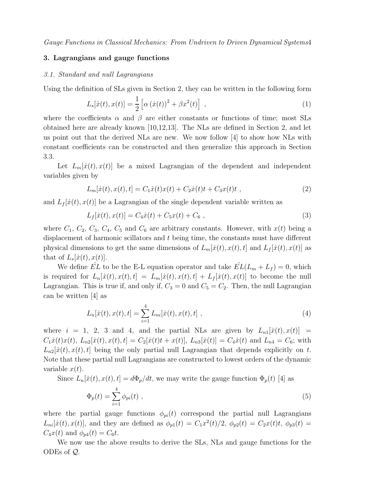## 3. Lagrangians and gauge functions

#### 3.1. Standard and null Lagrangians

Using the definition of SLs given in Section 2, they can be written in the following form

<span id="page-3-0"></span>
$$
L_s[\dot{x}(t), x(t)] = \frac{1}{2} [\alpha (\dot{x}(t))^2 + \beta x^2(t)] , \qquad (1)
$$

where the coefficients  $\alpha$  and  $\beta$  are either constants or functions of time; most SLs obtained here are already known [10,12,13]. The NLs are defined in Section 2, and let us point out that the derived NLs are new. We now follow [4] to show how NLs with constant coefficients can be constructed and then generalize this approach in Section 3.3.

Let  $L_m[x(t), x(t)]$  be a mixed Lagrangian of the dependent and independent variables given by

$$
L_m[\dot{x}(t), x(t), t] = C_1 \dot{x}(t)x(t) + C_2 \dot{x}(t)t + C_3 x(t)t , \qquad (2)
$$

and  $L_f[x(t),x(t)]$  be a Lagrangian of the single dependent variable written as

$$
L_f[\dot{x}(t), x(t)] = C_4 \dot{x}(t) + C_5 x(t) + C_6 , \qquad (3)
$$

where  $C_1$ ,  $C_2$ ,  $C_3$ ,  $C_4$ ,  $C_5$  and  $C_6$  are arbitrary constants. However, with  $x(t)$  being a displacement of harmonic scillators and t being time, the constants must have different physical dimensions to get the same dimensions of  $L_m[\dot{x}(t), x(t), t]$  and  $L_f[\dot{x}(t), x(t)]$  as that of  $L_s[\dot{x}(t), x(t)].$ 

We define  $\hat{EL}$  to be the E-L equation operator and take  $\hat{EL}(L_m + L_f) = 0$ , which is required for  $L_n[x(t), x(t), t] = L_m[\dot{x}(t), x(t), t] + L_f[\dot{x}(t), x(t)]$  to become the null Lagrangian. This is true if, and only if,  $C_3 = 0$  and  $C_5 = C_2$ . Then, the null Lagrangian can be written [4] as

<span id="page-3-1"></span>
$$
L_n[\dot{x}(t), x(t), t] = \sum_{i=1}^{4} L_{ni}[\dot{x}(t), x(t), t], \qquad (4)
$$

where  $i = 1, 2, 3$  and 4, and the partial NLs are given by  $L_{n1}[\dot{x}(t), x(t)] =$  $C_1\dot{x}(t)x(t), L_{n2}[\dot{x}(t), x(t), t] = C_2[\dot{x}(t)t + x(t)], L_{n3}[\dot{x}(t)] = C_4\dot{x}(t)$  and  $L_{n4} = C_6$ ; with  $L_{n2}[{\dot{x}}(t),{\dot{x}}(t),t]$  being the only partial null Lagrangian that depends explicitly on t. Note that these partial null Lagrangians are constructed to lowest orders of the dynamic variable  $x(t)$ .

Since  $L_n[\dot{x}(t), x(t), t] = d\Phi_p/dt$ , we may write the gauge function  $\Phi_p(t)$  [4] as

<span id="page-3-2"></span>
$$
\Phi_p(t) = \sum_{i=1}^4 \phi_{pi}(t) , \qquad (5)
$$

where the partial gauge functions  $\phi_{ni}(t)$  correspond the partial null Lagrangians  $L_{ni}[x(t),x(t)]$ , and they are defined as  $\phi_{p1}(t) = C_1x^2(t)/2$ ,  $\phi_{p2}(t) = C_2x(t)t$ ,  $\phi_{p3}(t) =$  $C_4x(t)$  and  $\phi_{p4}(t) = C_6t$ .

We now use the above results to derive the SLs, NLs and gauge functions for the ODEs of Q.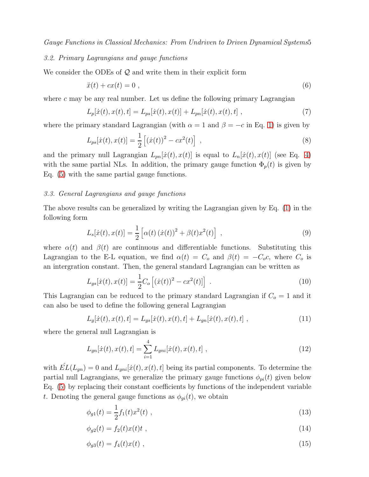## 3.2. Primary Lagrangians and gauge functions

We consider the ODEs of  $Q$  and write them in their explicit form

$$
\ddot{x}(t) + cx(t) = 0 \tag{6}
$$

where  $c$  may be any real number. Let us define the following primary Lagrangian

<span id="page-4-1"></span>
$$
L_p[\dot{x}(t), x(t), t] = L_{ps}[\dot{x}(t), x(t)] + L_{pn}[\dot{x}(t), x(t), t], \qquad (7)
$$

where the primary standard Lagrangian (with  $\alpha = 1$  and  $\beta = -c$  in Eq. [1\)](#page-3-0) is given by

$$
L_{ps}[\dot{x}(t), x(t)] = \frac{1}{2} [(\dot{x}(t))^{2} - cx^{2}(t)],
$$
\n(8)

and the primary null Lagrangian  $L_{pn}[ \dot{x}(t), x(t)]$  is equal to  $L_n[ \dot{x}(t), x(t)]$  (see Eq. [4\)](#page-3-1) with the same partial NLs. In addition, the primary gauge function  $\Phi_p(t)$  is given by Eq. [\(5\)](#page-3-2) with the same partial gauge functions.

#### 3.3. General Lagrangians and gauge functions

The above results can be generalized by writing the Lagrangian given by Eq. [\(1\)](#page-3-0) in the following form

$$
L_s[\dot{x}(t), x(t)] = \frac{1}{2} [\alpha(t) (\dot{x}(t))^2 + \beta(t) x^2(t)] , \qquad (9)
$$

where  $\alpha(t)$  and  $\beta(t)$  are continuous and differentiable functions. Substituting this Lagrangian to the E-L equation, we find  $\alpha(t) = C_o$  and  $\beta(t) = -C_o c$ , where  $C_o$  is an intergration constant. Then, the general standard Lagrangian can be written as

<span id="page-4-2"></span>
$$
L_{gs}[\dot{x}(t), x(t)] = \frac{1}{2}C_o[(\dot{x}(t))^2 - cx^2(t)]\ .
$$
 (10)

This Lagrangian can be reduced to the primary standard Lagrangian if  $C<sub>o</sub> = 1$  and it can also be used to define the following general Lagrangian

$$
L_g[\dot{x}(t), x(t), t] = L_{gs}[\dot{x}(t), x(t), t] + L_{gn}[\dot{x}(t), x(t), t], \qquad (11)
$$

where the general null Lagrangian is

<span id="page-4-0"></span>
$$
L_{gn}[\dot{x}(t), x(t), t] = \sum_{i=1}^{4} L_{gni}[\dot{x}(t), x(t), t], \qquad (12)
$$

with  $EL(L_{qn}) = 0$  and  $L_{qn}[{\dot{x}}(t), x(t), t]$  being its partial components. To determine the partial null Lagrangians, we generalize the primary gauge functions  $\phi_{pi}(t)$  given below Eq. [\(5\)](#page-3-2) by replacing their constant coefficients by functions of the independent variable t. Denoting the general gauge functions as  $\phi_{gi}(t)$ , we obtain

<span id="page-4-3"></span>
$$
\phi_{g1}(t) = \frac{1}{2} f_1(t) x^2(t) \tag{13}
$$

$$
\phi_{g2}(t) = f_2(t)x(t)t , \qquad (14)
$$

$$
\phi_{g3}(t) = f_4(t)x(t) \tag{15}
$$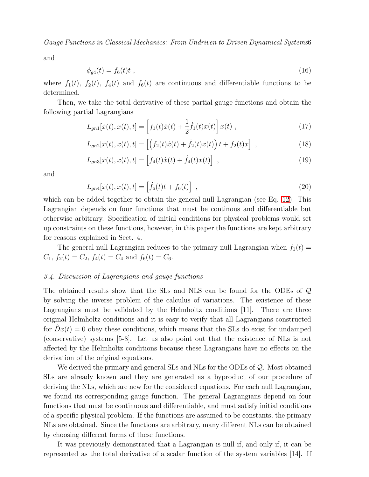and

<span id="page-5-0"></span>
$$
\phi_{g4}(t) = f_6(t)t \tag{16}
$$

where  $f_1(t)$ ,  $f_2(t)$ ,  $f_4(t)$  and  $f_6(t)$  are continuous and differentiable functions to be determined.

Then, we take the total derivative of these partial gauge functions and obtain the following partial Lagrangians

$$
L_{gn1}[\dot{x}(t), x(t), t] = \left[f_1(t)\dot{x}(t) + \frac{1}{2}\dot{f}_1(t)x(t)\right]x(t) , \qquad (17)
$$

$$
L_{gn2}[\dot{x}(t), x(t), t] = \left[ \left( f_2(t)\dot{x}(t) + \dot{f}_2(t)x(t) \right) t + f_2(t)x \right] , \qquad (18)
$$

$$
L_{gn3}[x(t), x(t), t] = [f_4(t)\dot{x}(t) + \dot{f}_4(t)x(t)], \qquad (19)
$$

and

$$
L_{gn4}[x(t), x(t), t] = \left[\dot{f}_6(t)t + f_6(t)\right] \tag{20}
$$

which can be added together to obtain the general null Lagrangian (see Eq. [12\)](#page-4-0). This Lagrangian depends on four functions that must be continous and differentiable but otherwise arbitrary. Specification of initial conditions for physical problems would set up constraints on these functions, however, in this paper the functions are kept arbitrary for reasons explained in Sect. 4.

The general null Lagrangian reduces to the primary null Lagrangian when  $f_1(t)$  =  $C_1$ ,  $f_2(t) = C_2$ ,  $f_4(t) = C_4$  and  $f_6(t) = C_6$ .

#### 3.4. Discussion of Lagrangians and gauge functions

The obtained results show that the SLs and NLS can be found for the ODEs of Q by solving the inverse problem of the calculus of variations. The existence of these Lagrangians must be validated by the Helmholtz conditions [11]. There are three original Helmholtz conditions and it is easy to verify that all Lagrangians constructed for  $Dx(t) = 0$  obey these conditions, which means that the SLs do exist for undamped (conservative) systems [5-8]. Let us also point out that the existence of NLs is not affected by the Helmholtz conditions because these Lagrangians have no effects on the derivation of the original equations.

We derived the primary and general SLs and NLs for the ODEs of Q. Most obtained SLs are already known and they are generated as a byproduct of our procedure of deriving the NLs, which are new for the considered equations. For each null Lagrangian, we found its corresponding gauge function. The general Lagrangians depend on four functions that must be continuous and differentiable, and must satisfy initial conditions of a specific physical problem. If the functions are assumed to be constants, the primary NLs are obtained. Since the functions are arbitrary, many different NLs can be obtained by choosing different forms of these functions.

It was previously demonstrated that a Lagrangian is null if, and only if, it can be represented as the total derivative of a scalar function of the system variables [14]. If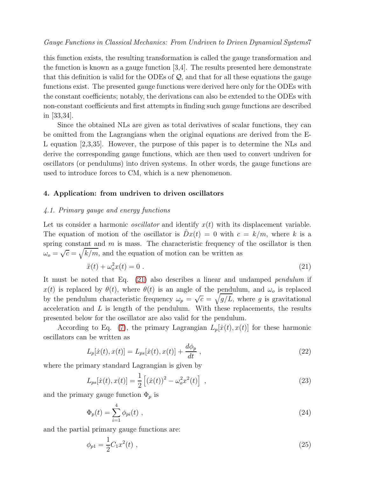this function exists, the resulting transformation is called the gauge transformation and the function is known as a gauge function [3,4]. The results presented here demonstrate that this definition is valid for the ODEs of  $\mathcal{Q}$ , and that for all these equations the gauge functions exist. The presented gauge functions were derived here only for the ODEs with the constant coefficients; notably, the derivations can also be extended to the ODEs with non-constant coefficients and first attempts in finding such gauge functions are described in [33,34].

Since the obtained NLs are given as total derivatives of scalar functions, they can be omitted from the Lagrangians when the original equations are derived from the E-L equation [2,3,35]. However, the purpose of this paper is to determine the NLs and derive the corresponding gauge functions, which are then used to convert undriven for oscillators (or pendulums) into driven systems. In other words, the gauge functions are used to introduce forces to CM, which is a new phenomenon.

# 4. Application: from undriven to driven oscillators

## 4.1. Primary gauge and energy functions

Let us consider a harmonic *oscillator* and identify  $x(t)$  with its displacement variable. The equation of motion of the oscillator is  $Dx(t) = 0$  with  $c = k/m$ , where k is a spring constant and  $m$  is mass. The characteristic frequency of the oscillator is then  $\omega_o = \sqrt{c} = \sqrt{k/m}$ , and the equation of motion can be written as

<span id="page-6-0"></span>
$$
\ddot{x}(t) + \omega_o^2 x(t) = 0 \tag{21}
$$

It must be noted that Eq. [\(21\)](#page-6-0) also describes a linear and undamped pendulum if  $x(t)$  is replaced by  $\theta(t)$ , where  $\theta(t)$  is an angle of the pendulum, and  $\omega_o$  is replaced by the pendulum characteristic frequency  $\omega_p = \sqrt{c} = \sqrt{g/L}$ , where g is gravitational acceleration and L is length of the pendulum. With these replacements, the results presented below for the oscillator are also valid for the pendulum.

According to Eq. [\(7\)](#page-4-1), the primary Lagrangian  $L_p[x(t), x(t)]$  for these harmonic oscillators can be written as

$$
L_p[\dot{x}(t), x(t)] = L_{ps}[\dot{x}(t), x(t)] + \frac{d\phi_p}{dt} \,, \tag{22}
$$

where the primary standard Lagrangian is given by

<span id="page-6-1"></span>
$$
L_{ps}[\dot{x}(t), x(t)] = \frac{1}{2} [(\dot{x}(t))^{2} - \omega_{o}^{2} x^{2}(t)], \qquad (23)
$$

and the primary gauge function  $\Phi_p$  is

$$
\Phi_p(t) = \sum_{i=1}^4 \phi_{pi}(t) \tag{24}
$$

and the partial primary gauge functions are:

$$
\phi_{p1} = \frac{1}{2} C_1 x^2(t) \tag{25}
$$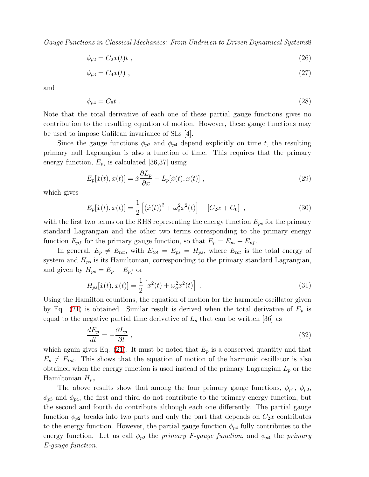$$
\phi_{p2} = C_2 x(t) t \tag{26}
$$

$$
\phi_{p3} = C_4 x(t) \tag{27}
$$

and

$$
\phi_{p4} = C_6 t \tag{28}
$$

Note that the total derivative of each one of these partial gauge functions gives no contribution to the resulting equation of motion. However, these gauge functions may be used to impose Galilean invariance of SLs [4].

Since the gauge functions  $\phi_{p2}$  and  $\phi_{p4}$  depend explicitly on time t, the resulting primary null Lagrangian is also a function of time. This requires that the primary energy function,  $E_p$ , is calculated [36,37] using

<span id="page-7-0"></span>
$$
E_p[\dot{x}(t), x(t)] = \dot{x}\frac{\partial L_p}{\partial \dot{x}} - L_p[\dot{x}(t), x(t)], \qquad (29)
$$

which gives

$$
E_p[\dot{x}(t), x(t)] = \frac{1}{2} [(\dot{x}(t))^2 + \omega_o^2 x^2(t)] - [C_2 x + C_6], \qquad (30)
$$

with the first two terms on the RHS representing the energy function  $E_{ps}$  for the primary standard Lagrangian and the other two terms corresponding to the primary energy function  $E_{pf}$  for the primary gauge function, so that  $E_p = E_{ps} + E_{pf}$ .

In general,  $E_p \neq E_{tot}$ , with  $E_{tot} = E_{ps} = H_{ps}$ , where  $E_{tot}$  is the total energy of system and  $H_{ps}$  is its Hamiltonian, corresponding to the primary standard Lagrangian, and given by  $H_{ps} = E_p - E_{pf}$  or

$$
H_{ps}[\dot{x}(t), x(t)] = \frac{1}{2} [\dot{x}^2(t) + \omega_o^2 x^2(t)] \tag{31}
$$

Using the Hamilton equations, the equation of motion for the harmonic oscillator given by Eq. [\(21\)](#page-6-0) is obtained. Similar result is derived when the total derivative of  $E_p$  is equal to the negative partial time derivative of  $L_p$  that can be written [36] as

<span id="page-7-1"></span>
$$
\frac{dE_p}{dt} = -\frac{\partial L_p}{\partial t} \tag{32}
$$

which again gives Eq. [\(21\)](#page-6-0). It must be noted that  $E_p$  is a conserved quantity and that  $E_p \neq E_{tot}$ . This shows that the equation of motion of the harmonic oscillator is also obtained when the energy function is used instead of the primary Lagrangian  $L_p$  or the Hamiltonian  $H_{ps}$ .

The above results show that among the four primary gauge functions,  $\phi_{p1}, \phi_{p2}$ ,  $\phi_{p3}$  and  $\phi_{p4}$ , the first and third do not contribute to the primary energy function, but the second and fourth do contribute although each one differently. The partial gauge function  $\phi_{p2}$  breaks into two parts and only the part that depends on  $C_2x$  contributes to the energy function. However, the partial gauge function  $\phi_{p4}$  fully contributes to the energy function. Let us call  $\phi_{p2}$  the primary F-gauge function, and  $\phi_{p4}$  the primary E-gauge function.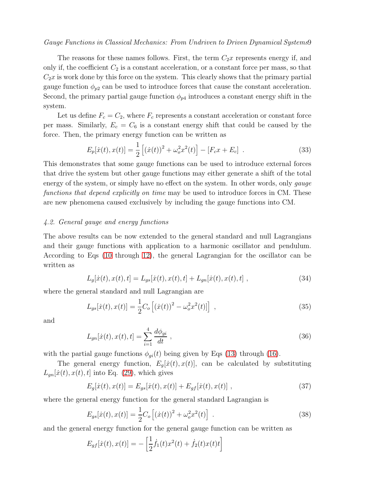The reasons for these names follows. First, the term  $C_2x$  represents energy if, and only if, the coefficient  $C_2$  is a constant acceleration, or a constant force per mass, so that  $C_2x$  is work done by this force on the system. This clearly shows that the primary partial gauge function  $\phi_{p2}$  can be used to introduce forces that cause the constant acceleration. Second, the primary partial gauge function  $\phi_{p4}$  introduces a constant energy shift in the system.

Let us define  $F_c = C_2$ , where  $F_c$  represents a constant acceleration or constant force per mass. Similarly,  $E_c = C_6$  is a constant energy shift that could be caused by the force. Then, the primary energy function can be written as

<span id="page-8-0"></span>
$$
E_p[\dot{x}(t), x(t)] = \frac{1}{2} [(\dot{x}(t))^2 + \omega_o^2 x^2(t)] - [F_c x + E_c] . \qquad (33)
$$

This demonstrates that some gauge functions can be used to introduce external forces that drive the system but other gauge functions may either generate a shift of the total energy of the system, or simply have no effect on the system. In other words, only *gauge* functions that depend explicitly on time may be used to introduce forces in CM. These are new phenomena caused exclusively by including the gauge functions into CM.

# 4.2. General gauge and energy functions

The above results can be now extended to the general standard and null Lagrangians and their gauge functions with application to a harmonic oscillator and pendulum. According to Eqs [\(10](#page-4-2) through [12\)](#page-4-0), the general Lagrangian for the oscillator can be written as

$$
L_g[\dot{x}(t), x(t), t] = L_{gs}[\dot{x}(t), x(t), t] + L_{gn}[\dot{x}(t), x(t), t], \qquad (34)
$$

where the general standard and null Lagrangian are

<span id="page-8-1"></span>
$$
L_{gs}[\dot{x}(t), x(t)] = \frac{1}{2}C_o[(\dot{x}(t))^2 - \omega_o^2 x^2(t)]],
$$
\n(35)

and

$$
L_{gn}[\dot{x}(t), x(t), t] = \sum_{i=1}^{4} \frac{d\phi_{gi}}{dt} , \qquad (36)
$$

with the partial gauge functions  $\phi_{gi}(t)$  being given by Eqs [\(13\)](#page-4-3) through [\(16\)](#page-5-0).

The general energy function,  $E_g[x(t), x(t)]$ , can be calculated by substituting  $L_{gn}[ \dot{x}(t), x(t), t]$  into Eq. [\(29\)](#page-7-0), which gives

$$
E_g[\dot{x}(t), x(t)] = E_{gs}[\dot{x}(t), x(t)] + E_{gf}[\dot{x}(t), x(t)] ,
$$
\n(37)

where the general energy function for the general standard Lagrangian is

$$
E_{gs}[\dot{x}(t), x(t)] = \frac{1}{2}C_o[(\dot{x}(t))^2 + \omega_o^2 x^2(t)].
$$
\n(38)

and the general energy function for the general gauge function can be written as

$$
E_{gf}[\dot{x}(t), x(t)] = -\left[\frac{1}{2}\dot{f}_1(t)x^2(t) + \dot{f}_2(t)x(t)t\right]
$$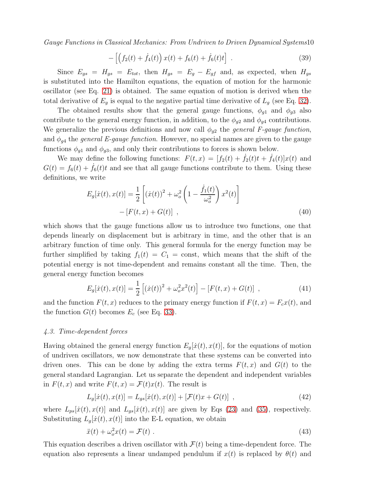$$
-\left[\left(f_2(t) + \dot{f}_4(t)\right)x(t) + f_6(t) + \dot{f}_6(t)t\right] \tag{39}
$$

Since  $E_{gs} = H_{gs} = E_{tot}$ , then  $H_{gs} = E_g - E_{gf}$  and, as expected, when  $H_{gs}$ is substituted into the Hamilton equations, the equation of motion for the harmonic oscillator (see Eq. [21\)](#page-6-0) is obtained. The same equation of motion is derived when the total derivative of  $E_g$  is equal to the negative partial time derivative of  $L_g$  (see Eq. [32\)](#page-7-1).

The obtained results show that the general gauge functions,  $\phi_{g1}$  and  $\phi_{g3}$  also contribute to the general energy function, in addition, to the  $\phi_{g2}$  and  $\phi_{g4}$  contributions. We generalize the previous definitions and now call  $\phi_{q2}$  the *general F-gauge function*, and  $\phi_{g4}$  the *general E-gauge function*. However, no special names are given to the gauge functions  $\phi_{q1}$  and  $\phi_{q3}$ , and only their contributions to forces is shown below.

We may define the following functions:  $F(t, x) = [f_2(t) + f_2(t)t + f_4(t)]x(t)$  and  $G(t) = f_6(t) + f_6(t)t$  and see that all gauge functions contribute to them. Using these definitions, we write

$$
E_g[\dot{x}(t), x(t)] = \frac{1}{2} \left[ (\dot{x}(t))^2 + \omega_o^2 \left( 1 - \frac{\dot{f}_1(t)}{\omega_o^2} \right) x^2(t) \right] - [F(t, x) + G(t)] ,
$$
\n(40)

which shows that the gauge functions allow us to introduce two functions, one that depends linearly on displacement but is arbitrary in time, and the other that is an arbitrary function of time only. This general formula for the energy function may be further simplified by taking  $f_1(t) = C_1$  = const, which means that the shift of the potential energy is not time-dependent and remains constant all the time. Then, the general energy function becomes

$$
E_g[\dot{x}(t), x(t)] = \frac{1}{2} [(\dot{x}(t))^2 + \omega_o^2 x^2(t)] - [F(t, x) + G(t)], \qquad (41)
$$

and the function  $F(t, x)$  reduces to the primary energy function if  $F(t, x) = F_c x(t)$ , and the function  $G(t)$  becomes  $E_c$  (see Eq. [33\)](#page-8-0).

#### 4.3. Time-dependent forces

Having obtained the general energy function  $E_q[\dot{x}(t), x(t)]$ , for the equations of motion of undriven oscillators, we now demonstrate that these systems can be converted into driven ones. This can be done by adding the extra terms  $F(t, x)$  and  $G(t)$  to the general standard Lagrangian. Let us separate the dependent and independent variables in  $F(t, x)$  and write  $F(t, x) = \mathcal{F}(t)x(t)$ . The result is

$$
L_g[\dot{x}(t), x(t)] = L_{gs}[\dot{x}(t), x(t)] + [\mathcal{F}(t)x + G(t)], \qquad (42)
$$

where  $L_{ps}[ \dot{x}(t), x(t) ]$  and  $L_{gs}[ \dot{x}(t), x(t) ]$  are given by Eqs [\(23\)](#page-6-1) and [\(35\)](#page-8-1), respectively. Substituting  $L_q[x(t), x(t)]$  into the E-L equation, we obtain

$$
\ddot{x}(t) + \omega_o^2 x(t) = \mathcal{F}(t) \tag{43}
$$

This equation describes a driven oscillator with  $\mathcal{F}(t)$  being a time-dependent force. The equation also represents a linear undamped pendulum if  $x(t)$  is replaced by  $\theta(t)$  and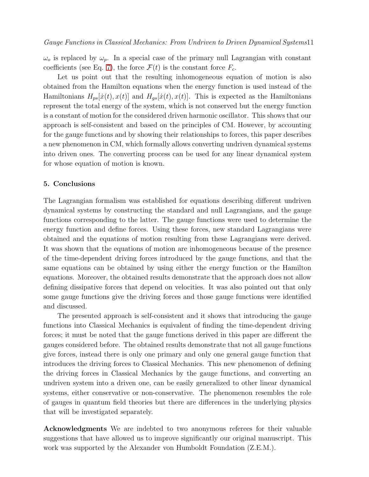$\omega_o$  is replaced by  $\omega_p$ . In a special case of the primary null Lagrangian with constant coefficients (see Eq. [7\)](#page-4-1), the force  $\mathcal{F}(t)$  is the constant force  $F_c$ .

Let us point out that the resulting inhomogeneous equation of motion is also obtained from the Hamilton equations when the energy function is used instead of the Hamiltonians  $H_{ps}[{\dot{x}}(t),x(t)]$  and  $H_{gs}[{\dot{x}}(t),x(t)]$ . This is expected as the Hamiltonians represent the total energy of the system, which is not conserved but the energy function is a constant of motion for the considered driven harmonic oscillator. This shows that our approach is self-consistent and based on the principles of CM. However, by accounting for the gauge functions and by showing their relationships to forces, this paper describes a new phenomenon in CM, which formally allows converting undriven dynamical systems into driven ones. The converting process can be used for any linear dynamical system for whose equation of motion is known.

#### 5. Conclusions

The Lagrangian formalism was established for equations describing different undriven dynamical systems by constructing the standard and null Lagrangians, and the gauge functions corresponding to the latter. The gauge functions were used to determine the energy function and define forces. Using these forces, new standard Lagrangians were obtained and the equations of motion resulting from these Lagrangians were derived. It was shown that the equations of motion are inhomogeneous because of the presence of the time-dependent driving forces introduced by the gauge functions, and that the same equations can be obtained by using either the energy function or the Hamilton equations. Moreover, the obtained results demonstrate that the approach does not allow defining dissipative forces that depend on velocities. It was also pointed out that only some gauge functions give the driving forces and those gauge functions were identified and discussed.

The presented approach is self-consistent and it shows that introducing the gauge functions into Classical Mechanics is equivalent of finding the time-dependent driving forces; it must be noted that the gauge functions derived in this paper are different the gauges considered before. The obtained results demonstrate that not all gauge functions give forces, instead there is only one primary and only one general gauge function that introduces the driving forces to Classical Mechanics. This new phenomenon of defining the driving forces in Classical Mechanics by the gauge functions, and converting an undriven system into a driven one, can be easily generalized to other linear dynamical systems, either conservative or non-conservative. The phenomenon resembles the role of gauges in quantum field theories but there are differences in the underlying physics that will be investigated separately.

Acknowledgments We are indebted to two anonymous referees for their valuable suggestions that have allowed us to improve significantly our original manuscript. This work was supported by the Alexander von Humboldt Foundation (Z.E.M.).